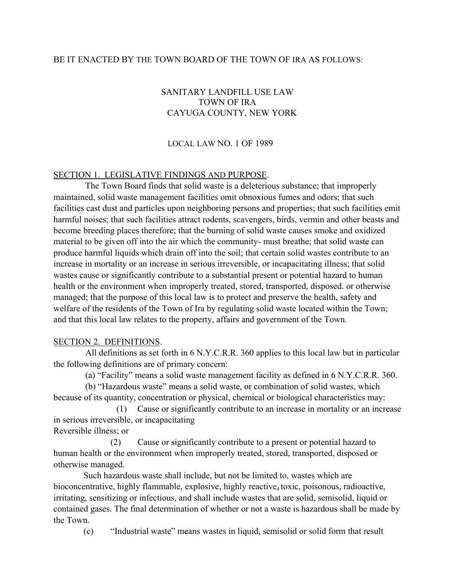#### BE IT ENACTED BY THE TOWN BOARD OF THE TOWN OF IRA AS FOLLOWS:

# SANITARY LANDFILL USE LAW TOWN OF IRA CAYUGA COUNTY, NEW YORK

#### LOCAL LAW NO. 1 OF 1989

#### SECTION 1. LEGISLATIVE FINDINGS AND PURPOSE.

The Town Board finds that solid waste is a deleterious substance; that improperly maintained, solid waste management facilities omit obnoxious fumes and odors; that such facilities cast dust and particles upon neighboring persons and properties; that such facilities emit harmful noises; that such facilities attract rodents, scavengers, birds, vermin and other beasts and become breeding places therefore; that the burning of solid waste causes smoke and oxidized material to be given off into the air which the community- must breathe; that solid waste can produce harmful liquids which drain off into the soil; that certain solid wastes contribute to an increase in mortality or an increase in serious irreversible, or incapacitating illness; that solid wastes cause or significantly contribute to a substantial present or potential hazard to human health or the environment when improperly treated, stored, transported, disposed. or otherwise managed; that the purpose of this local law is to protect and preserve the health, safety and welfare of the residents of the Town of Ira by regulating solid waste located within the Town; and that this local law relates to the property, affairs and government of the Town.

#### SECTION 2. DEFINITIONS.

All definitions as set forth in 6 N.Y.C.R.R. 360 applies to this local law but in particular the following definitions are of primary concern:

(a) "Facility" means a solid waste management facility as defined in 6 N.Y.C.R.R. 360.

(b) "Hazardous waste" means a solid waste, or combination of solid wastes, which because of its quantity, concentration or physical, chemical or biological characteristics may:

(1) Cause or significantly contribute to an increase in mortality or an increase in serious irreversible, or incapacitating

Reversible illness; or

(2) Cause or significantly contribute to a present or potential hazard to human health or the environment when improperly treated, stored, transported, disposed or otherwise managed.

Such hazardous waste shall include, but not be limited to, wastes which are bioconcentrative, highly flammable, explosive, highly reactive<sub>4</sub> toxic, poisonous, radioactive, irritating, sensitizing or infectious, and shall include wastes that are solid, semisolid, liquid or contained gases. The final determination of whether or not a waste is hazardous shall be made by the Town.

(c) "Industrial waste" means wastes in liquid, semisolid or solid form that result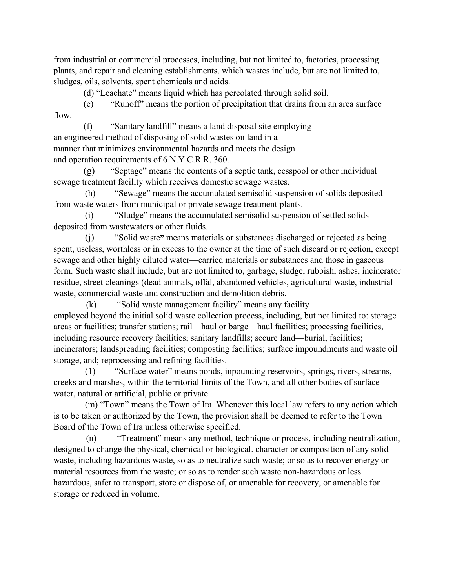from industrial or commercial processes, including, but not limited to, factories, processing plants, and repair and cleaning establishments, which wastes include, but are not limited to, sludges, oils, solvents, spent chemicals and acids.

(d) "Leachate" means liquid which has percolated through solid soil.

(e) "Runoff" means the portion of precipitation that drains from an area surface flow.

(f) "Sanitary landfill" means a land disposal site employing an engineered method of disposing of solid wastes on land in a manner that minimizes environmental hazards and meets the design and operation requirements of 6 N.Y.C.R.R. 360.

(g) "Septage" means the contents of a septic tank, cesspool or other individual sewage treatment facility which receives domestic sewage wastes.

(h) "Sewage" means the accumulated semisolid suspension of solids deposited from waste waters from municipal or private sewage treatment plants.

(i) "Sludge" means the accumulated semisolid suspension of settled solids deposited from wastewaters or other fluids.

(j) "Solid waste**"** means materials or substances discharged or rejected as being spent, useless, worthless or in excess to the owner at the time of such discard or rejection, except sewage and other highly diluted water—carried materials or substances and those in gaseous form. Such waste shall include, but are not limited to, garbage, sludge, rubbish, ashes, incinerator residue, street cleanings (dead animals, offal, abandoned vehicles, agricultural waste, industrial waste, commercial waste and construction and demolition debris.

(k) "Solid waste management facility" means any facility employed beyond the initial solid waste collection process, including, but not limited to: storage areas or facilities; transfer stations; rail—haul or barge—haul facilities; processing facilities, including resource recovery facilities; sanitary landfills; secure land—burial, facilities; incinerators; landspreading facilities; composting facilities; surface impoundments and waste oil storage, and; reprocessing and refining facilities.

(1) "Surface water" means ponds, inpounding reservoirs, springs, rivers, streams, creeks and marshes, within the territorial limits of the Town, and all other bodies of surface water, natural or artificial, public or private.

(m) "Town" means the Town of Ira. Whenever this local law refers to any action which is to be taken or authorized by the Town, the provision shall be deemed to refer to the Town Board of the Town of Ira unless otherwise specified.

(n) "Treatment" means any method, technique or process, including neutralization, designed to change the physical, chemical or biological. character or composition of any solid waste, including hazardous waste, so as to neutralize such waste; or so as to recover energy or material resources from the waste; or so as to render such waste non-hazardous or less hazardous, safer to transport, store or dispose of, or amenable for recovery, or amenable for storage or reduced in volume.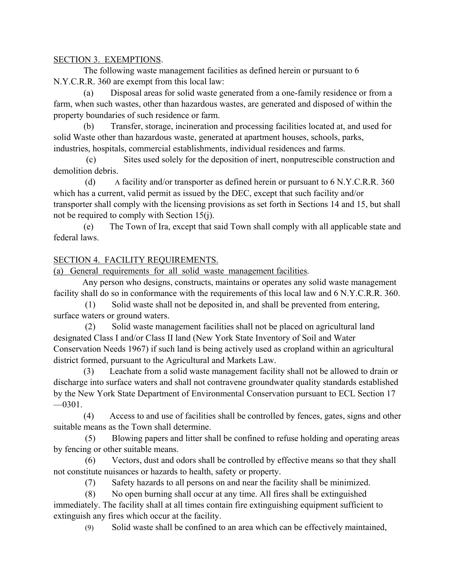## SECTION 3. EXEMPTIONS.

The following waste management facilities as defined herein or pursuant to 6 N.Y.C.R.R. 360 are exempt from this local law:

(a) Disposal areas for solid waste generated from a one-family residence or from a farm, when such wastes, other than hazardous wastes, are generated and disposed of within the property boundaries of such residence or farm.

(b) Transfer, storage, incineration and processing facilities located at, and used for solid Waste other than hazardous waste, generated at apartment houses, schools, parks, industries, hospitals, commercial establishments, individual residences and farms.

(c) Sites used solely for the deposition of inert, nonputrescible construction and demolition debris.

(d) A facility and/or transporter as defined herein or pursuant to 6 N.Y.C.R.R. 360 which has a current, valid permit as issued by the DEC, except that such facility and/or transporter shall comply with the licensing provisions as set forth in Sections 14 and 15, but shall not be required to comply with Section 15(j).

(e) The Town of Ira, except that said Town shall comply with all applicable state and federal laws.

# SECTION 4. FACILITY REQUIREMENTS.

(a) General requirements for all solid waste management facilities.

Any person who designs, constructs, maintains or operates any solid waste management facility shall do so in conformance with the requirements of this local law and 6 N.Y.C.R.R. 360.

(1) Solid waste shall not be deposited in, and shall be prevented from entering, surface waters or ground waters.

(2) Solid waste management facilities shall not be placed on agricultural land designated Class I and/or Class II land (New York State Inventory of Soil and Water Conservation Needs 1967) if such land is being actively used as cropland within an agricultural district formed, pursuant to the Agricultural and Markets Law.

(3) Leachate from a solid waste management facility shall not be allowed to drain or discharge into surface waters and shall not contravene groundwater quality standards established by the New York State Department of Environmental Conservation pursuant to ECL Section 17  $-0301.$ 

(4) Access to and use of facilities shall be controlled by fences, gates, signs and other suitable means as the Town shall determine.

(5) Blowing papers and litter shall be confined to refuse holding and operating areas by fencing or other suitable means.

(6) Vectors, dust and odors shall be controlled by effective means so that they shall not constitute nuisances or hazards to health, safety or property.

(7) Safety hazards to all persons on and near the facility shall be minimized.

(8) No open burning shall occur at any time. All fires shall be extinguished immediately. The facility shall at all times contain fire extinguishing equipment sufficient to extinguish any fires which occur at the facility.

(9) Solid waste shall be confined to an area which can be effectively maintained,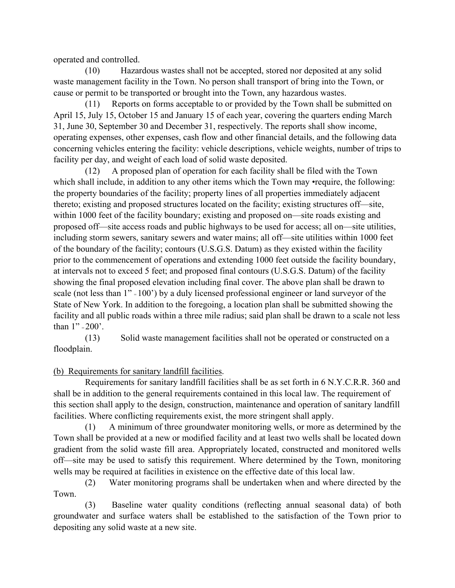operated and controlled.

(10) Hazardous wastes shall not be accepted, stored nor deposited at any solid waste management facility in the Town. No person shall transport of bring into the Town, or cause or permit to be transported or brought into the Town, any hazardous wastes.

(11) Reports on forms acceptable to or provided by the Town shall be submitted on April 15, July 15, October 15 and January 15 of each year, covering the quarters ending March 31, June 30, September 30 and December 31, respectively. The reports shall show income, operating expenses, other expenses, cash flow and other financial details, and the following data concerning vehicles entering the facility: vehicle descriptions, vehicle weights, number of trips to facility per day, and weight of each load of solid waste deposited.

(12) A proposed plan of operation for each facility shall be filed with the Town which shall include, in addition to any other items which the Town may •require, the following: the property boundaries of the facility; property lines of all properties immediately adjacent thereto; existing and proposed structures located on the facility; existing structures off—site, within 1000 feet of the facility boundary; existing and proposed on—site roads existing and proposed off—site access roads and public highways to be used for access; all on—site utilities, including storm sewers, sanitary sewers and water mains; all off—site utilities within 1000 feet of the boundary of the facility; contours (U.S.G.S. Datum) as they existed within the facility prior to the commencement of operations and extending 1000 feet outside the facility boundary, at intervals not to exceed 5 feet; and proposed final contours (U.S.G.S. Datum) of the facility showing the final proposed elevation including final cover. The above plan shall be drawn to scale (not less than 1" = 100') by a duly licensed professional engineer or land surveyor of the State of New York. In addition to the foregoing, a location plan shall be submitted showing the facility and all public roads within a three mile radius; said plan shall be drawn to a scale not less than 1" = 200'.

(13) Solid waste management facilities shall not be operated or constructed on a floodplain.

# (b) Requirements for sanitary landfill facilities.

Requirements for sanitary landfill facilities shall be as set forth in 6 N.Y.C.R.R. 360 and shall be in addition to the general requirements contained in this local law. The requirement of this section shall apply to the design, construction, maintenance and operation of sanitary landfill facilities. Where conflicting requirements exist, the more stringent shall apply.

(1) A minimum of three groundwater monitoring wells, or more as determined by the Town shall be provided at a new or modified facility and at least two wells shall be located down gradient from the solid waste fill area. Appropriately located, constructed and monitored wells off—site may be used to satisfy this requirement. Where determined by the Town, monitoring wells may be required at facilities in existence on the effective date of this local law.

(2) Water monitoring programs shall be undertaken when and where directed by the Town.

(3) Baseline water quality conditions (reflecting annual seasonal data) of both groundwater and surface waters shall be established to the satisfaction of the Town prior to depositing any solid waste at a new site.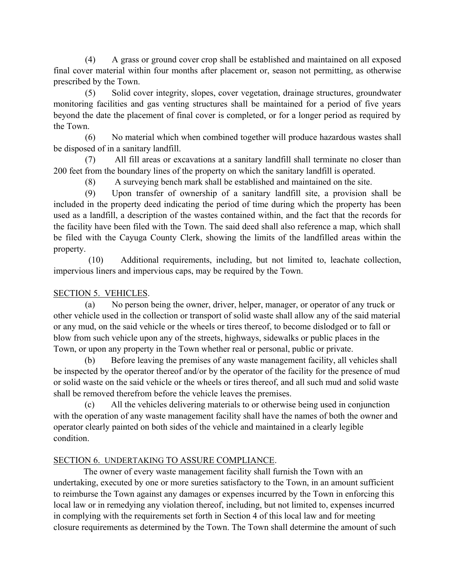(4) A grass or ground cover crop shall be established and maintained on all exposed final cover material within four months after placement or, season not permitting, as otherwise prescribed by the Town.

(5) Solid cover integrity, slopes, cover vegetation, drainage structures, groundwater monitoring facilities and gas venting structures shall be maintained for a period of five years beyond the date the placement of final cover is completed, or for a longer period as required by the Town.

(6) No material which when combined together will produce hazardous wastes shall be disposed of in a sanitary landfill.

(7) All fill areas or excavations at a sanitary landfill shall terminate no closer than 200 feet from the boundary lines of the property on which the sanitary landfill is operated.

(8) A surveying bench mark shall be established and maintained on the site.

(9) Upon transfer of ownership of a sanitary landfill site, a provision shall be included in the property deed indicating the period of time during which the property has been used as a landfill, a description of the wastes contained within, and the fact that the records for the facility have been filed with the Town. The said deed shall also reference a map, which shall be filed with the Cayuga County Clerk, showing the limits of the landfilled areas within the property.

(10) Additional requirements, including, but not limited to, leachate collection, impervious liners and impervious caps, may be required by the Town.

# SECTION 5. VEHICLES.

(a) No person being the owner, driver, helper, manager, or operator of any truck or other vehicle used in the collection or transport of solid waste shall allow any of the said material or any mud, on the said vehicle or the wheels or tires thereof, to become dislodged or to fall or blow from such vehicle upon any of the streets, highways, sidewalks or public places in the Town, or upon any property in the Town whether real or personal, public or private.

(b) Before leaving the premises of any waste management facility, all vehicles shall be inspected by the operator thereof and/or by the operator of the facility for the presence of mud or solid waste on the said vehicle or the wheels or tires thereof, and all such mud and solid waste shall be removed therefrom before the vehicle leaves the premises.

(c) All the vehicles delivering materials to or otherwise being used in conjunction with the operation of any waste management facility shall have the names of both the owner and operator clearly painted on both sides of the vehicle and maintained in a clearly legible condition.

# SECTION 6. UNDERTAKING TO ASSURE COMPLIANCE.

The owner of every waste management facility shall furnish the Town with an undertaking, executed by one or more sureties satisfactory to the Town, in an amount sufficient to reimburse the Town against any damages or expenses incurred by the Town in enforcing this local law or in remedying any violation thereof, including, but not limited to, expenses incurred in complying with the requirements set forth in Section 4 of this local law and for meeting closure requirements as determined by the Town. The Town shall determine the amount of such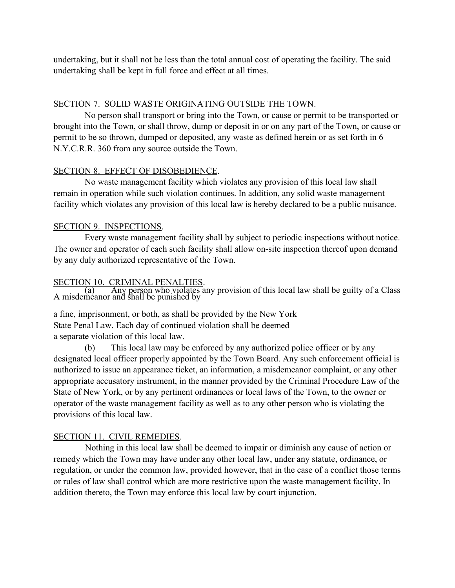undertaking, but it shall not be less than the total annual cost of operating the facility. The said undertaking shall be kept in full force and effect at all times.

## SECTION 7. SOLID WASTE ORIGINATING OUTSIDE THE TOWN.

No person shall transport or bring into the Town, or cause or permit to be transported or brought into the Town, or shall throw, dump or deposit in or on any part of the Town, or cause or permit to be so thrown, dumped or deposited, any waste as defined herein or as set forth in 6 N.Y.C.R.R. 360 from any source outside the Town.

#### SECTION 8. EFFECT OF DISOBEDIENCE.

No waste management facility which violates any provision of this local law shall remain in operation while such violation continues. In addition, any solid waste management facility which violates any provision of this local law is hereby declared to be a public nuisance.

## SECTION 9. INSPECTIONS.

Every waste management facility shall by subject to periodic inspections without notice. The owner and operator of each such facility shall allow on-site inspection thereof upon demand by any duly authorized representative of the Town.

SECTION 10. CRIMINAL PENALTIES. (a) Any person who violates any provision of this local law shall be guilty of a Class A misdemeanor and shall be punished by

a fine, imprisonment, or both, as shall be provided by the New York State Penal Law. Each day of continued violation shall be deemed a separate violation of this local law.

(b) This local law may be enforced by any authorized police officer or by any designated local officer properly appointed by the Town Board. Any such enforcement official is authorized to issue an appearance ticket, an information, a misdemeanor complaint, or any other appropriate accusatory instrument, in the manner provided by the Criminal Procedure Law of the State of New York, or by any pertinent ordinances or local laws of the Town, to the owner or operator of the waste management facility as well as to any other person who is violating the provisions of this local law.

## SECTION 11. CIVIL REMEDIES.

Nothing in this local law shall be deemed to impair or diminish any cause of action or remedy which the Town may have under any other local law, under any statute, ordinance, or regulation, or under the common law, provided however, that in the case of a conflict those terms or rules of law shall control which are more restrictive upon the waste management facility. In addition thereto, the Town may enforce this local law by court injunction.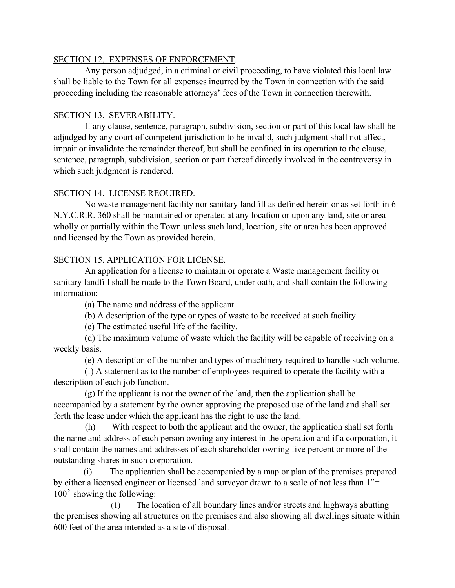#### SECTION 12. EXPENSES OF ENFORCEMENT.

Any person adjudged, in a criminal or civil proceeding, to have violated this local law shall be liable to the Town for all expenses incurred by the Town in connection with the said proceeding including the reasonable attorneys' fees of the Town in connection therewith.

# SECTION 13. SEVERABILITY.

If any clause, sentence, paragraph, subdivision, section or part of this local law shall be adjudged by any court of competent jurisdiction to be invalid, such judgment shall not affect, impair or invalidate the remainder thereof, but shall be confined in its operation to the clause, sentence, paragraph, subdivision, section or part thereof directly involved in the controversy in which such judgment is rendered.

## SECTION 14. LICENSE REOUIRED.

No waste management facility nor sanitary landfill as defined herein or as set forth in 6 N.Y.C.R.R. 360 shall be maintained or operated at any location or upon any land, site or area wholly or partially within the Town unless such land, location, site or area has been approved and licensed by the Town as provided herein.

# SECTION 15. APPLICATION FOR LICENSE.

An application for a license to maintain or operate a Waste management facility or sanitary landfill shall be made to the Town Board, under oath, and shall contain the following information:

(a) The name and address of the applicant.

(b) A description of the type or types of waste to be received at such facility.

(c) The estimated useful life of the facility.

(d) The maximum volume of waste which the facility will be capable of receiving on a weekly basis.

(e) A description of the number and types of machinery required to handle such volume.

(f) A statement as to the number of employees required to operate the facility with a description of each job function.

(g) If the applicant is not the owner of the land, then the application shall be accompanied by a statement by the owner approving the proposed use of the land and shall set forth the lease under which the applicant has the right to use the land.

(h) With respect to both the applicant and the owner, the application shall set forth the name and address of each person owning any interest in the operation and if a corporation, it shall contain the names and addresses of each shareholder owning five percent or more of the outstanding shares in such corporation.

(i) The application shall be accompanied by a map or plan of the premises prepared by either a licensed engineer or licensed land surveyor drawn to a scale of not less than 1"= — 100' showing the following:

(1) The location of all boundary lines and/or streets and highways abutting the premises showing all structures on the premises and also showing all dwellings situate within 600 feet of the area intended as a site of disposal.